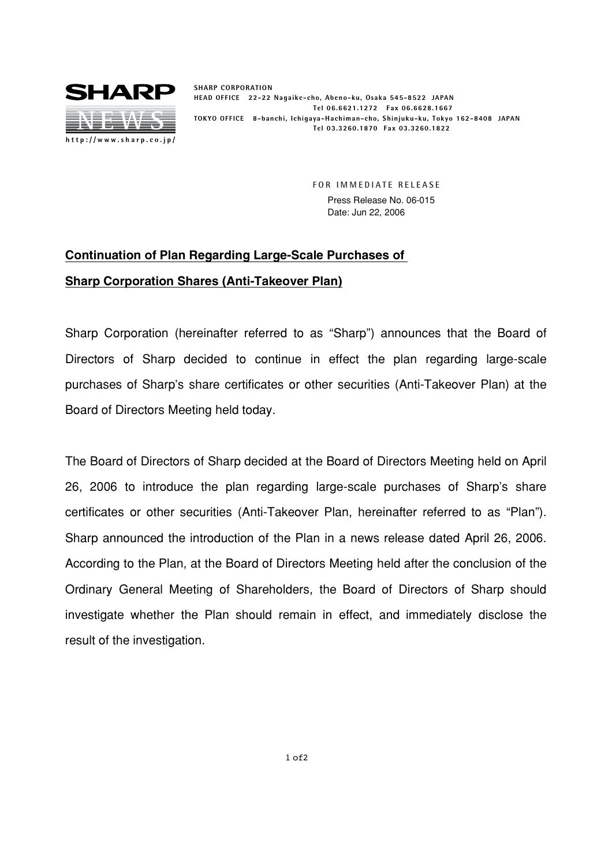

**SHARP CORPORATION HEAD OFFICE 22-22 Nagaike-cho, Abeno-ku, Osaka 545-8522 JAPAN Tel 06.6621.1272 Fax 06.6628.1667 TOKYO OFFICE 8-banchi, Ichigaya-Hachiman-cho, Shinjuku-ku, Tokyo 162-8408 JAPAN Tel 03.3260.1870 Fax 03.3260.1822**

> **FOR IMMEDIATE RELEASE** Press Release No. 06-015 Date: Jun 22, 2006

## **Continuation of Plan Regarding Large-Scale Purchases of Sharp Corporation Shares (Anti-Takeover Plan)**

Sharp Corporation (hereinafter referred to as "Sharp") announces that the Board of Directors of Sharp decided to continue in effect the plan regarding large-scale purchases of Sharp's share certificates or other securities (Anti-Takeover Plan) at the Board of Directors Meeting held today.

The Board of Directors of Sharp decided at the Board of Directors Meeting held on April 26, 2006 to introduce the plan regarding large-scale purchases of Sharp's share certificates or other securities (Anti-Takeover Plan, hereinafter referred to as "Plan"). Sharp announced the introduction of the Plan in a news release dated April 26, 2006. According to the Plan, at the Board of Directors Meeting held after the conclusion of the Ordinary General Meeting of Shareholders, the Board of Directors of Sharp should investigate whether the Plan should remain in effect, and immediately disclose the result of the investigation.